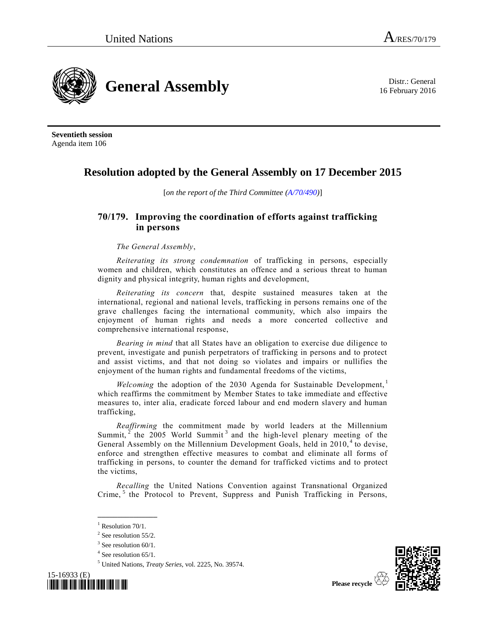16 February 2016



**Seventieth session** Agenda item 106

## **Resolution adopted by the General Assembly on 17 December 2015**

[*on the report of the Third Committee [\(A/70/490\)](http://undocs.org/A/70/490)*]

## **70/179. Improving the coordination of efforts against trafficking in persons**

*The General Assembly*,

*Reiterating its strong condemnation* of trafficking in persons, especially women and children, which constitutes an offence and a serious threat to human dignity and physical integrity, human rights and development,

*Reiterating its concern* that, despite sustained measures taken at the international, regional and national levels, trafficking in persons remains one of the grave challenges facing the international community, which also impairs the enjoyment of human rights and needs a more concerted collective and comprehensive international response,

*Bearing in mind* that all States have an obligation to exercise due diligence to prevent, investigate and punish perpetrators of trafficking in persons and to protect and assist victims, and that not doing so violates and impairs or nullifies the enjoyment of the human rights and fundamental freedoms of the victims,

*Welcoming* the adoption of the 2030 Agenda for Sustainable Development,<sup>1</sup> which reaffirms the commitment by Member States to take immediate and effective measures to, inter alia, eradicate forced labour and end modern slavery and human trafficking,

*Reaffirming* the commitment made by world leaders at the Millennium Summit,  $2$  the 2005 World Summit<sup>3</sup> and the high-level plenary meeting of the General Assembly on the Millennium Development Goals, held in 2010,<sup>4</sup> to devise, enforce and strengthen effective measures to combat and eliminate all forms of trafficking in persons, to counter the demand for trafficked victims and to protect the victims,

<span id="page-0-0"></span>*Recalling* the United Nations Convention against Transnational Organized Crime,<sup>5</sup> the Protocol to Prevent, Suppress and Punish Trafficking in Persons,

<sup>5</sup> United Nations, *Treaty Series*, vol. 2225, No. 39574.





 $1$  Resolution 70/1.

 $2$  See resolution 55/2.

<sup>&</sup>lt;sup>3</sup> See resolution 60/1.

<sup>4</sup> See resolution 65/1.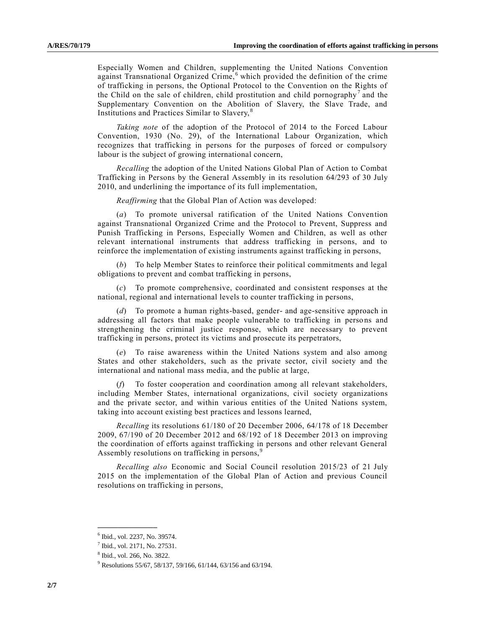<span id="page-1-0"></span>Especially Women and Children, supplementing the United Nations Convention against Transnational Organized Crime, <sup>6</sup> which provided the definition of the crime of trafficking in persons, the Optional Protocol to the Convention on the Rights of the Child on the sale of children, child prostitution and child pornography<sup>7</sup> and the Supplementary Convention on the Abolition of Slavery, the Slave Trade, and Institutions and Practices Similar to Slavery, <sup>8</sup>

*Taking note* of the adoption of the Protocol of 2014 to the Forced Labour Convention, 1930 (No. 29), of the International Labour Organization, which recognizes that trafficking in persons for the purposes of forced or compulsory labour is the subject of growing international concern,

*Recalling* the adoption of the United Nations Global Plan of Action to Combat Trafficking in Persons by the General Assembly in its resolution 64/293 of 30 July 2010, and underlining the importance of its full implementation,

*Reaffirming* that the Global Plan of Action was developed:

(*a*) To promote universal ratification of the United Nations Convention against Transnational Organized Crime and the Protocol to Prevent, Suppress and Punish Trafficking in Persons, Especially Women and Children, as well as other relevant international instruments that address trafficking in persons, and to reinforce the implementation of existing instruments against trafficking in persons,

(*b*) To help Member States to reinforce their political commitments and legal obligations to prevent and combat trafficking in persons,

(*c*) To promote comprehensive, coordinated and consistent responses at the national, regional and international levels to counter trafficking in persons,

(*d*) To promote a human rights-based, gender- and age-sensitive approach in addressing all factors that make people vulnerable to trafficking in persons and strengthening the criminal justice response, which are necessary to prevent trafficking in persons, protect its victims and prosecute its perpetrators,

(*e*) To raise awareness within the United Nations system and also among States and other stakeholders, such as the private sector, civil society and the international and national mass media, and the public at large,

(*f*) To foster cooperation and coordination among all relevant stakeholders, including Member States, international organizations, civil society organizations and the private sector, and within various entities of the United Nations system, taking into account existing best practices and lessons learned,

*Recalling* its resolutions 61/180 of 20 December 2006, 64/178 of 18 December 2009, 67/190 of 20 December 2012 and 68/192 of 18 December 2013 on improving the coordination of efforts against trafficking in persons and other relevant General Assembly resolutions on trafficking in persons,<sup>9</sup>

*Recalling also* Economic and Social Council resolution 2015/23 of 21 July 2015 on the implementation of the Global Plan of Action and previous Council resolutions on trafficking in persons,

**\_\_\_\_\_\_\_\_\_\_\_\_\_\_\_**

<sup>6</sup> Ibid., vol. 2237, No. 39574.

<sup>&</sup>lt;sup>7</sup> Ibid., vol. 2171, No. 27531.

<sup>8</sup> Ibid., vol. 266, No. 3822.

<sup>9</sup> Resolutions 55/67, 58/137, 59/166, 61/144, 63/156 and 63/194.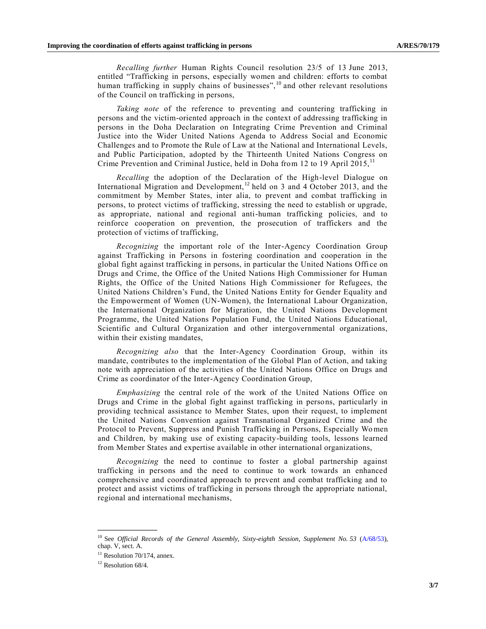*Recalling further* Human Rights Council resolution 23/5 of 13 June 2013, entitled "Trafficking in persons, especially women and children: efforts to combat human trafficking in supply chains of businesses", <sup>10</sup> and other relevant resolutions of the Council on trafficking in persons,

*Taking note* of the reference to preventing and countering trafficking in persons and the victim-oriented approach in the context of addressing trafficking in persons in the Doha Declaration on Integrating Crime Prevention and Criminal Justice into the Wider United Nations Agenda to Address Social and Economic Challenges and to Promote the Rule of Law at the National and International Levels, and Public Participation, adopted by the Thirteenth United Nations Congress on Crime Prevention and Criminal Justice, held in Doha from 12 to 19 April 2015,<sup>11</sup>

*Recalling* the adoption of the Declaration of the High-level Dialogue on International Migration and Development,  $12$  held on 3 and 4 October 2013, and the commitment by Member States, inter alia, to prevent and combat trafficking in persons, to protect victims of trafficking, stressing the need to establish or upgrade, as appropriate, national and regional anti-human trafficking policies, and to reinforce cooperation on prevention, the prosecution of traffickers and the protection of victims of trafficking,

*Recognizing* the important role of the Inter-Agency Coordination Group against Trafficking in Persons in fostering coordination and cooperation in the global fight against trafficking in persons, in particular the United Nations Office on Drugs and Crime, the Office of the United Nations High Commissioner for Human Rights, the Office of the United Nations High Commissioner for Refugees, the United Nations Children's Fund, the United Nations Entity for Gender Equality and the Empowerment of Women (UN-Women), the International Labour Organization, the International Organization for Migration, the United Nations Development Programme, the United Nations Population Fund, the United Nations Educational, Scientific and Cultural Organization and other intergovernmental organizations, within their existing mandates,

*Recognizing also* that the Inter-Agency Coordination Group, within its mandate, contributes to the implementation of the Global Plan of Action, and taking note with appreciation of the activities of the United Nations Office on Drugs and Crime as coordinator of the Inter-Agency Coordination Group,

*Emphasizing* the central role of the work of the United Nations Office on Drugs and Crime in the global fight against trafficking in persons, particularly in providing technical assistance to Member States, upon their request, to implement the United Nations Convention against Transnational Organized Crime and the Protocol to Prevent, Suppress and Punish Trafficking in Persons, Especially Women and Children, by making use of existing capacity-building tools, lessons learned from Member States and expertise available in other international organizations,

*Recognizing* the need to continue to foster a global partnership against trafficking in persons and the need to continue to work towards an enhanced comprehensive and coordinated approach to prevent and combat trafficking and to protect and assist victims of trafficking in persons through the appropriate national, regional and international mechanisms,

**\_\_\_\_\_\_\_\_\_\_\_\_\_\_\_**

<sup>&</sup>lt;sup>10</sup> See *Official Records of the General Assembly, Sixty-eighth Session, Supplement No. 53 [\(A/68/53\)](http://undocs.org/A/68/53),* chap. V, sect. A.

 $11$  Resolution 70/174, annex.

<sup>&</sup>lt;sup>12</sup> Resolution 68/4.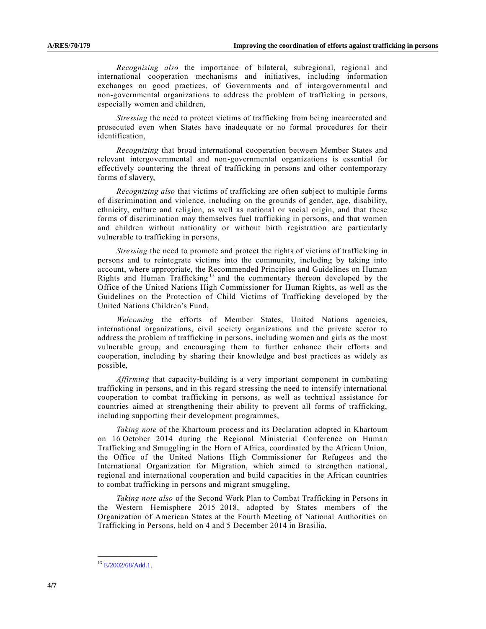*Recognizing also* the importance of bilateral, subregional, regional and international cooperation mechanisms and initiatives, including information exchanges on good practices, of Governments and of intergovernmental and non-governmental organizations to address the problem of trafficking in persons, especially women and children,

*Stressing* the need to protect victims of trafficking from being incarcerated and prosecuted even when States have inadequate or no formal procedures for their identification,

*Recognizing* that broad international cooperation between Member States and relevant intergovernmental and non-governmental organizations is essential for effectively countering the threat of trafficking in persons and other contemporary forms of slavery,

*Recognizing also* that victims of trafficking are often subject to multiple forms of discrimination and violence, including on the grounds of gender, age, disability, ethnicity, culture and religion, as well as national or social origin, and that these forms of discrimination may themselves fuel trafficking in persons, and that women and children without nationality or without birth registration are particularly vulnerable to trafficking in persons,

*Stressing* the need to promote and protect the rights of victims of trafficking in persons and to reintegrate victims into the community, including by taking into account, where appropriate, the Recommended Principles and Guidelines on Human Rights and Human Trafficking <sup>13</sup> and the commentary thereon developed by the Office of the United Nations High Commissioner for Human Rights, as well as the Guidelines on the Protection of Child Victims of Trafficking developed by the United Nations Children's Fund,

*Welcoming* the efforts of Member States, United Nations agencies, international organizations, civil society organizations and the private sector to address the problem of trafficking in persons, including women and girls as the most vulnerable group, and encouraging them to further enhance their efforts and cooperation, including by sharing their knowledge and best practices as widely as possible,

*Affirming* that capacity-building is a very important component in combating trafficking in persons, and in this regard stressing the need to intensify international cooperation to combat trafficking in persons, as well as technical assistance for countries aimed at strengthening their ability to prevent all forms of trafficking, including supporting their development programmes,

*Taking note* of the Khartoum process and its Declaration adopted in Khartoum on 16 October 2014 during the Regional Ministerial Conference on Human Trafficking and Smuggling in the Horn of Africa, coordinated by the African Union, the Office of the United Nations High Commissioner for Refugees and the International Organization for Migration, which aimed to strengthen national, regional and international cooperation and build capacities in the African countries to combat trafficking in persons and migrant smuggling,

*Taking note also* of the Second Work Plan to Combat Trafficking in Persons in the Western Hemisphere 2015–2018, adopted by States members of the Organization of American States at the Fourth Meeting of National Authorities on Trafficking in Persons, held on 4 and 5 December 2014 in Brasilia,

**\_\_\_\_\_\_\_\_\_\_\_\_\_\_\_**  $13$  F/2002/68/Add.1.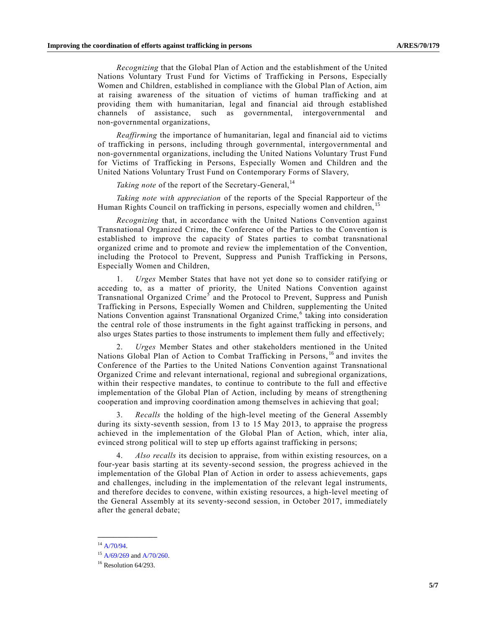*Recognizing* that the Global Plan of Action and the establishment of the United Nations Voluntary Trust Fund for Victims of Trafficking in Persons, Especially Women and Children, established in compliance with the Global Plan of Action, aim at raising awareness of the situation of victims of human trafficking and at providing them with humanitarian, legal and financial aid through established channels of assistance, such as governmental, intergovernmental and non-governmental organizations,

*Reaffirming* the importance of humanitarian, legal and financial aid to victims of trafficking in persons, including through governmental, intergovernmental and non-governmental organizations, including the United Nations Voluntary Trust Fund for Victims of Trafficking in Persons, Especially Women and Children and the United Nations Voluntary Trust Fund on Contemporary Forms of Slavery,

Taking note of the report of the Secretary-General,<sup>14</sup>

*Taking note with appreciation* of the reports of the Special Rapporteur of the Human Rights Council on trafficking in persons, especially women and children, <sup>15</sup>

*Recognizing* that, in accordance with the United Nations Convention against Transnational Organized Crime, the Conference of the Parties to the Convention is established to improve the capacity of States parties to combat transnational organized crime and to promote and review the implementation of the Convention, including the Protocol to Prevent, Suppress and Punish Trafficking in Persons, Especially Women and Children,

1. *Urges* Member States that have not yet done so to consider ratifying or acceding to, as a matter of priority, the United Nations Convention against Transnational Organized Crime<sup>[5](#page-0-0)</sup> and the Protocol to Prevent, Suppress and Punish Trafficking in Persons, Especially Women and Children, supplementing the United Nations Convention against Transnational Organized Crime,<sup>[6](#page-1-0)</sup> taking into consideration the central role of those instruments in the fight against trafficking in persons, and also urges States parties to those instruments to implement them fully and effectively;

2. *Urges* Member States and other stakeholders mentioned in the United Nations Global Plan of Action to Combat Trafficking in Persons, <sup>16</sup> and invites the Conference of the Parties to the United Nations Convention against Transnational Organized Crime and relevant international, regional and subregional organizations, within their respective mandates, to continue to contribute to the full and effective implementation of the Global Plan of Action, including by means of strengthening cooperation and improving coordination among themselves in achieving that goal;

3. *Recalls* the holding of the high-level meeting of the General Assembly during its sixty-seventh session, from 13 to 15 May 2013, to appraise the progress achieved in the implementation of the Global Plan of Action, which, inter alia, evinced strong political will to step up efforts against trafficking in persons;

4. *Also recalls* its decision to appraise, from within existing resources, on a four-year basis starting at its seventy-second session, the progress achieved in the implementation of the Global Plan of Action in order to assess achievements, gaps and challenges, including in the implementation of the relevant legal instruments, and therefore decides to convene, within existing resources, a high-level meeting of the General Assembly at its seventy-second session, in October 2017, immediately after the general debate;

**\_\_\_\_\_\_\_\_\_\_\_\_\_\_\_**

<sup>&</sup>lt;sup>14</sup> [A/70/94.](http://undocs.org/A/70/94)

 $15$  [A/69/269](http://undocs.org/A/69/269) an[d A/70/260.](http://undocs.org/A/70/260)

 $16$  Resolution 64/293.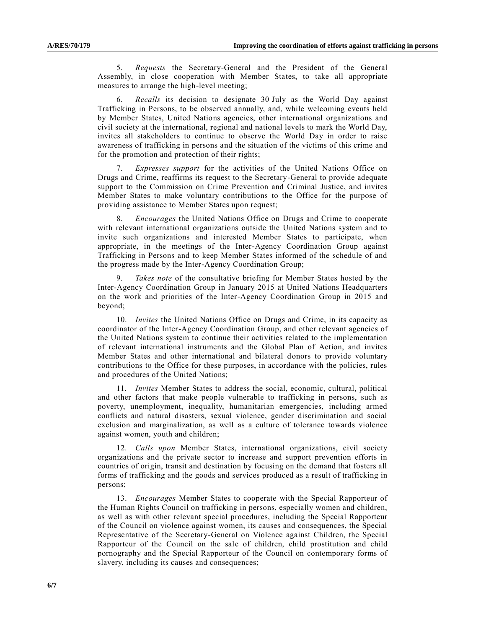5. *Requests* the Secretary-General and the President of the General Assembly, in close cooperation with Member States, to take all appropriate measures to arrange the high-level meeting;

6. *Recalls* its decision to designate 30 July as the World Day against Trafficking in Persons, to be observed annually, and, while welcoming events held by Member States, United Nations agencies, other international organizations and civil society at the international, regional and national levels to mark the World Day, invites all stakeholders to continue to observe the World Day in order to raise awareness of trafficking in persons and the situation of the victims of this crime and for the promotion and protection of their rights;

7. *Expresses support* for the activities of the United Nations Office on Drugs and Crime, reaffirms its request to the Secretary-General to provide adequate support to the Commission on Crime Prevention and Criminal Justice, and invites Member States to make voluntary contributions to the Office for the purpose of providing assistance to Member States upon request;

8. *Encourages* the United Nations Office on Drugs and Crime to cooperate with relevant international organizations outside the United Nations system and to invite such organizations and interested Member States to participate, when appropriate, in the meetings of the Inter-Agency Coordination Group against Trafficking in Persons and to keep Member States informed of the schedule of and the progress made by the Inter-Agency Coordination Group;

9. *Takes note* of the consultative briefing for Member States hosted by the Inter-Agency Coordination Group in January 2015 at United Nations Headquarters on the work and priorities of the Inter-Agency Coordination Group in 2015 and beyond;

10. *Invites* the United Nations Office on Drugs and Crime, in its capacity as coordinator of the Inter-Agency Coordination Group, and other relevant agencies of the United Nations system to continue their activities related to the implementation of relevant international instruments and the Global Plan of Action, and invites Member States and other international and bilateral donors to provide voluntary contributions to the Office for these purposes, in accordance with the policies, rules and procedures of the United Nations;

11. *Invites* Member States to address the social, economic, cultural, political and other factors that make people vulnerable to trafficking in persons, such as poverty, unemployment, inequality, humanitarian emergencies, including armed conflicts and natural disasters, sexual violence, gender discrimination and social exclusion and marginalization, as well as a culture of tolerance towards violence against women, youth and children;

12. *Calls upon* Member States, international organizations, civil society organizations and the private sector to increase and support prevention efforts in countries of origin, transit and destination by focusing on the demand that fosters all forms of trafficking and the goods and services produced as a result of trafficking in persons;

13. *Encourages* Member States to cooperate with the Special Rapporteur of the Human Rights Council on trafficking in persons, especially women and children, as well as with other relevant special procedures, including the Special Rapporteur of the Council on violence against women, its causes and consequences, the Special Representative of the Secretary-General on Violence against Children, the Special Rapporteur of the Council on the sale of children, child prostitution and child pornography and the Special Rapporteur of the Council on contemporary forms of slavery, including its causes and consequences;